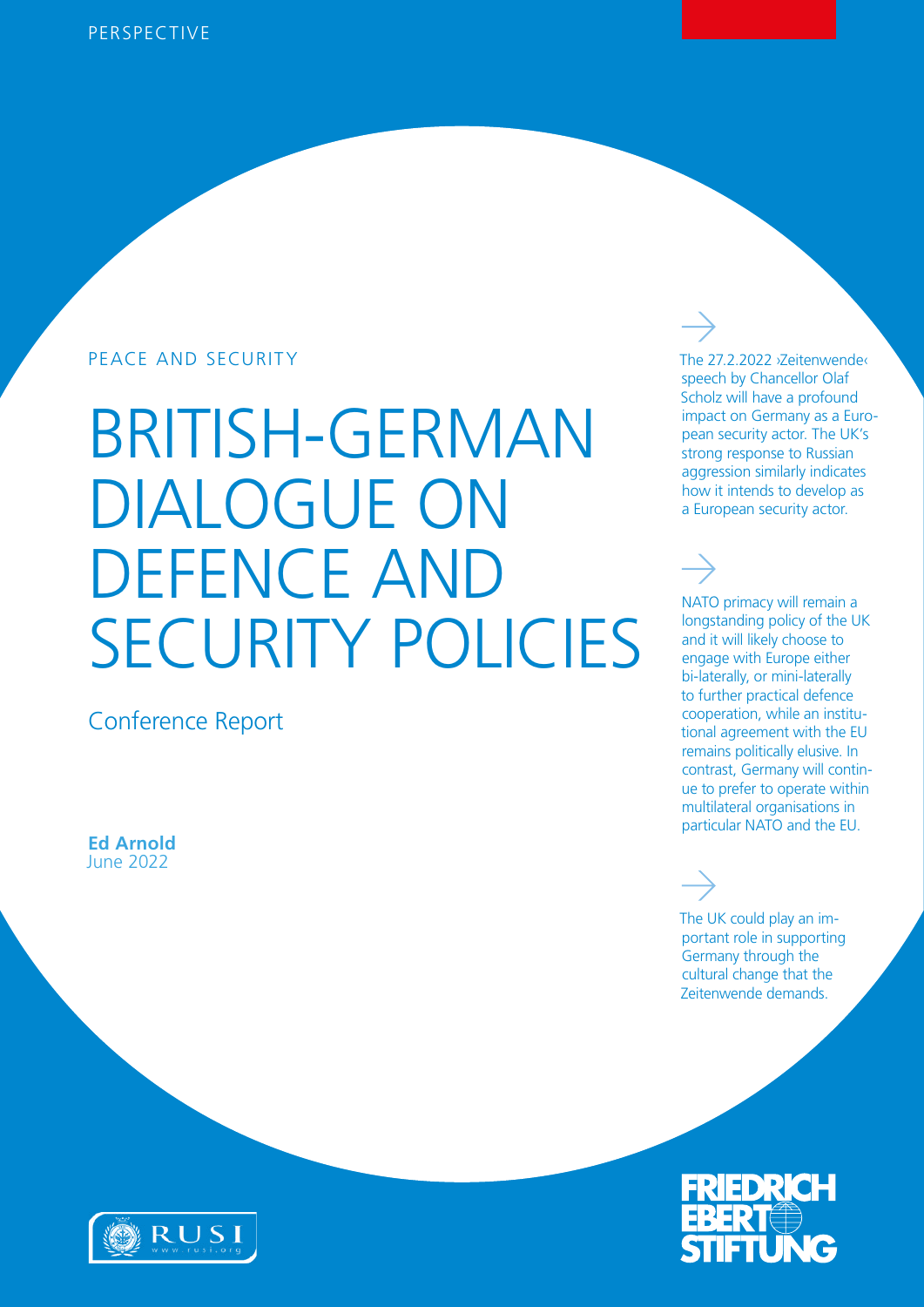### PEACE AND SECURITY The 27.2.2022 >Zeitenwender

# BRITISH-GERMAN DIALOGUE ON DEFENCE AND SECURITY POLICIES

Conference Report

June 2022 **Ed Arnold**

### speech by Chancellor Olaf Scholz will have a profound impact on Germany as a European security actor. The UK's strong response to Russian aggression similarly indicates how it intends to develop as a European security actor.

NATO primacy will remain a longstanding policy of the UK and it will likely choose to engage with Europe either bi-laterally, or mini-laterally to further practical defence cooperation, while an institutional agreement with the EU remains politically elusive. In contrast, Germany will continue to prefer to operate within multilateral organisations in particular NATO and the EU.

The UK could play an important role in supporting Germany through the cultural change that the Zeitenwende demands.



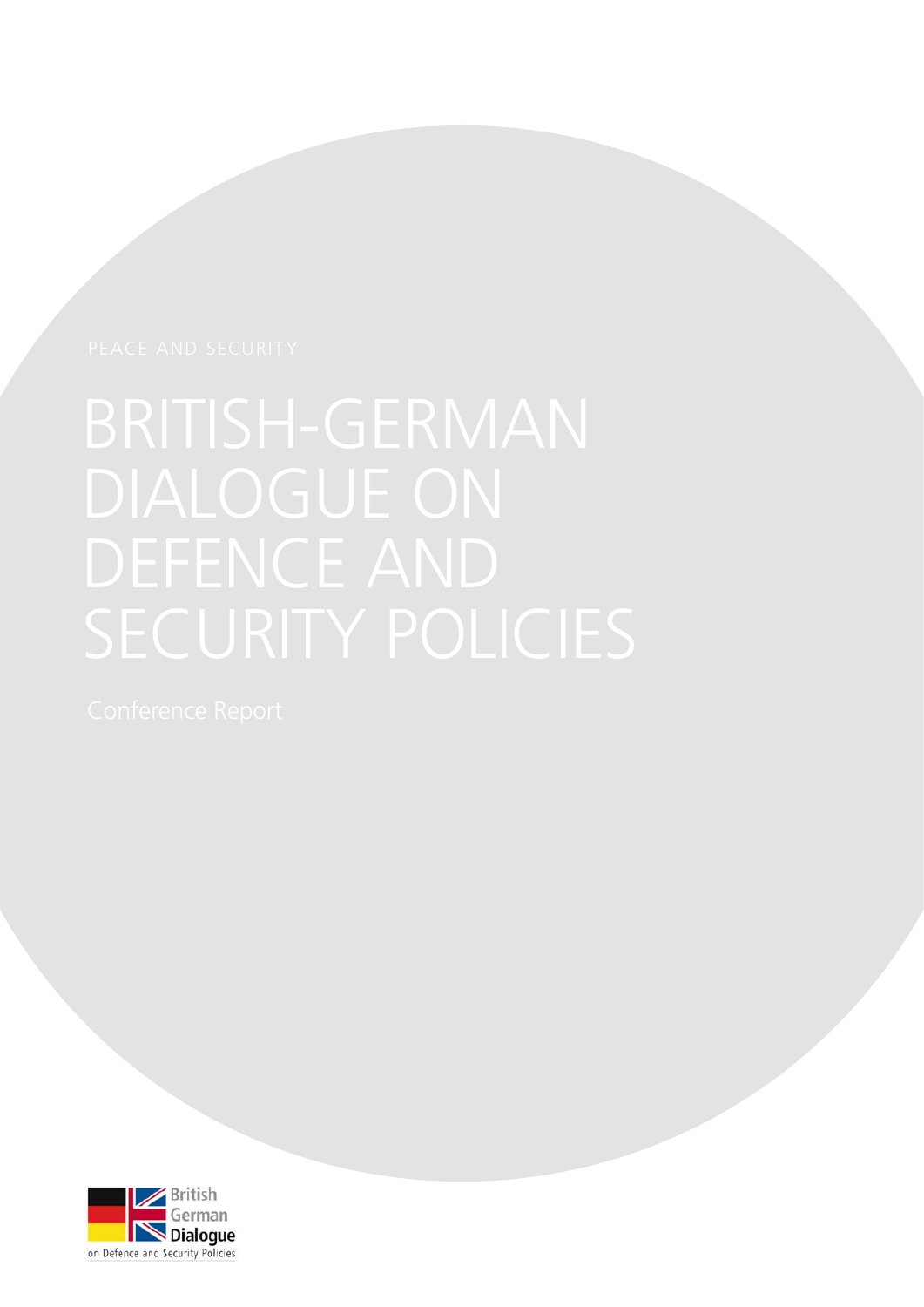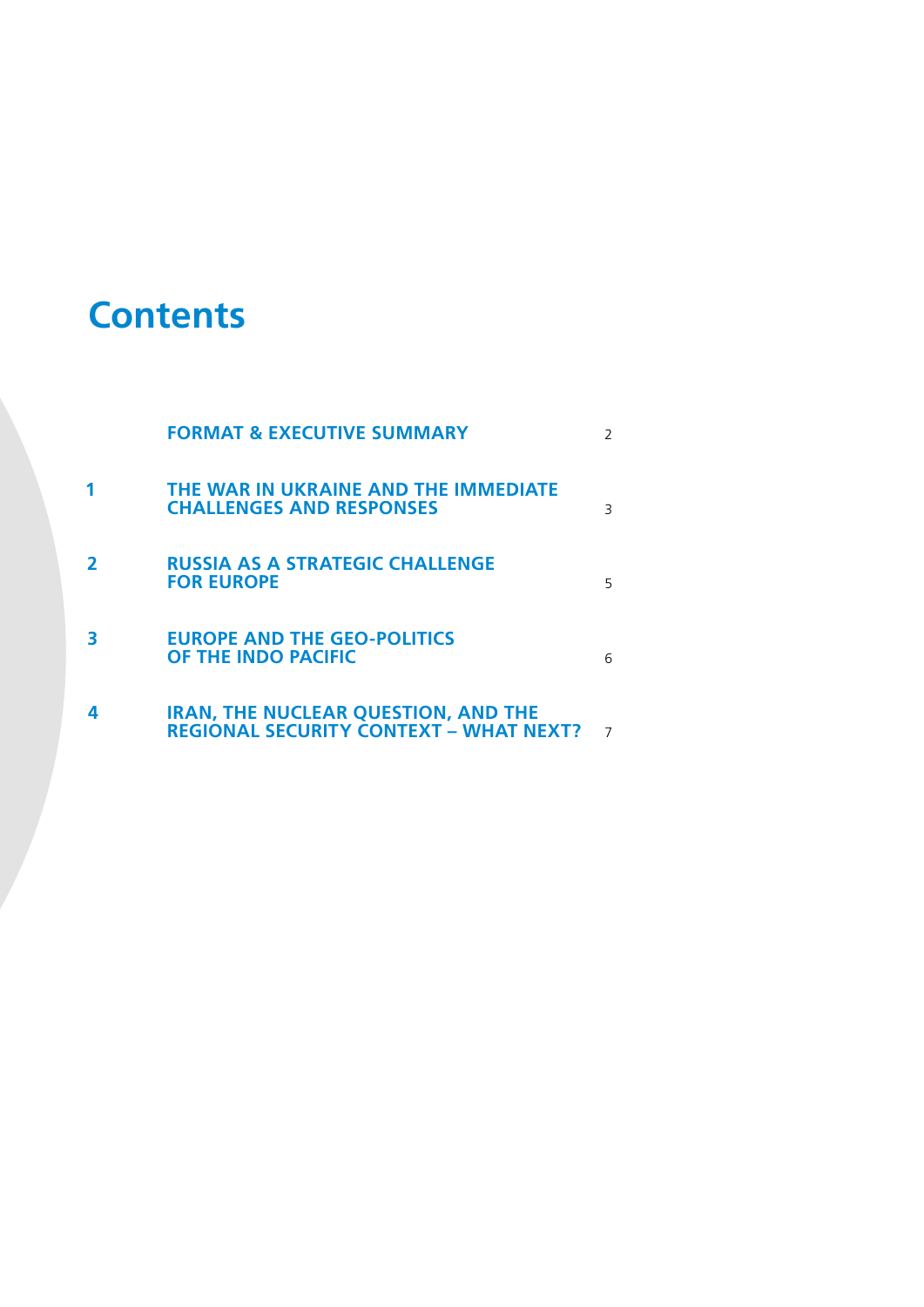## **Contents**

|   | <b>FORMAT &amp; EXECUTIVE SUMMARY</b>                                                       |   |
|---|---------------------------------------------------------------------------------------------|---|
|   | THE WAR IN UKRAINE AND THE IMMEDIATE<br><b>CHALLENGES AND RESPONSES</b>                     | 3 |
| 2 | <b>RUSSIA AS A STRATEGIC CHALLENGE</b><br><b>FOR EUROPE</b>                                 | 5 |
| 3 | <b>EUROPE AND THE GEO-POLITICS</b><br>OF THE INDO PACIFIC                                   | 6 |
| 4 | <b>IRAN, THE NUCLEAR QUESTION, AND THE</b><br><b>REGIONAL SECURITY CONTEXT - WHAT NEXT?</b> |   |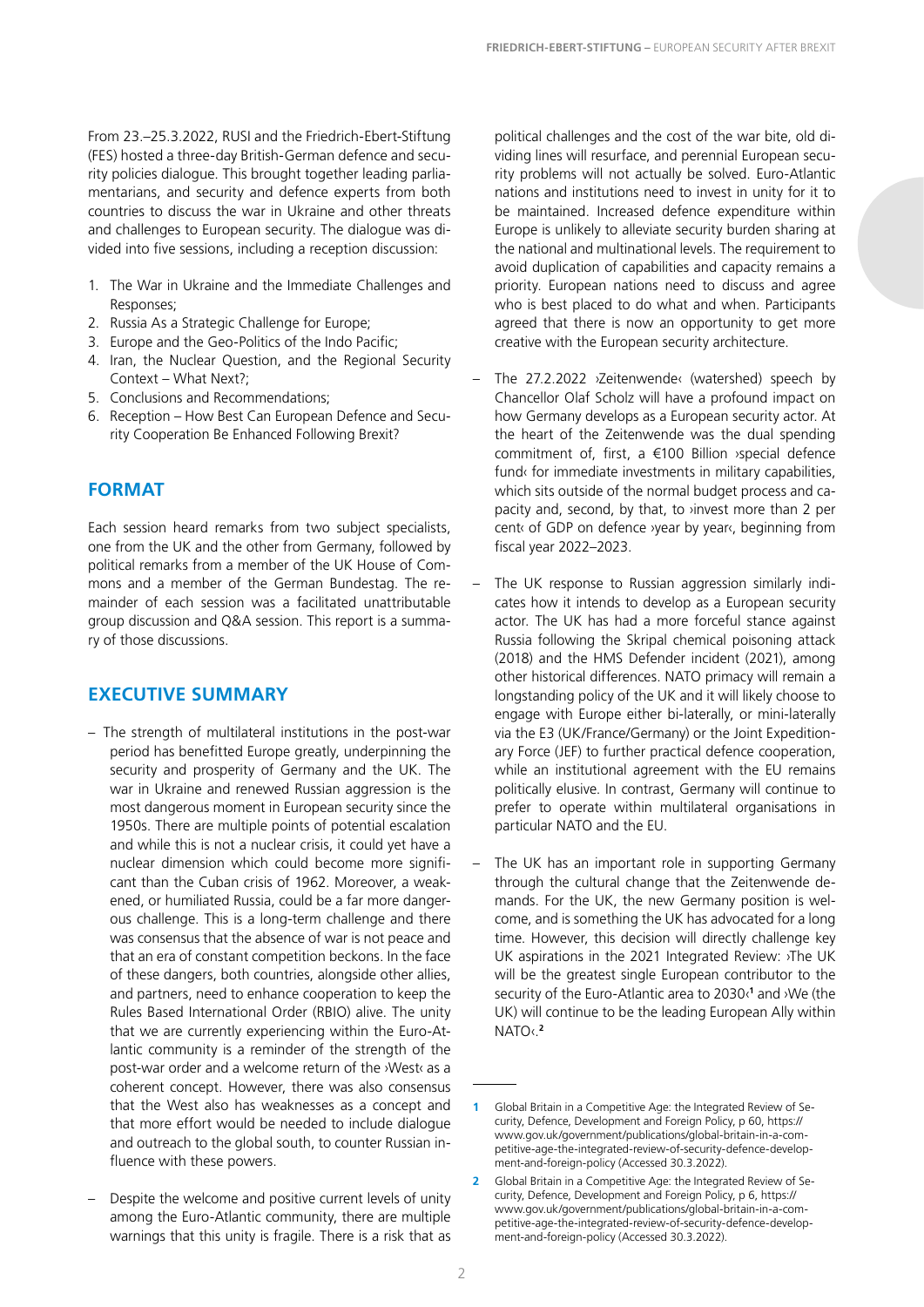<span id="page-3-0"></span>From 23.–25.3.2022, RUSI and the Friedrich-Ebert-Stiftung (FES) hosted a three-day British-German defence and security policies dialogue. This brought together leading parliamentarians, and security and defence experts from both countries to discuss the war in Ukraine and other threats and challenges to European security. The dialogue was divided into five sessions, including a reception discussion:

- 1. The War in Ukraine and the Immediate Challenges and Responses;
- 2. Russia As a Strategic Challenge for Europe;
- 3. Europe and the Geo-Politics of the Indo Pacific;
- 4. Iran, the Nuclear Question, and the Regional Security Context – What Next?;
- 5. Conclusions and Recommendations;
- 6. Reception How Best Can European Defence and Security Cooperation Be Enhanced Following Brexit?

### **FORMAT**

Each session heard remarks from two subject specialists, one from the UK and the other from Germany, followed by political remarks from a member of the UK House of Commons and a member of the German Bundestag. The remainder of each session was a facilitated unattributable group discussion and Q&A session. This report is a summary of those discussions.

### **EXECUTIVE SUMMARY**

- The strength of multilateral institutions in the post-war period has benefitted Europe greatly, underpinning the security and prosperity of Germany and the UK. The war in Ukraine and renewed Russian aggression is the most dangerous moment in European security since the 1950s. There are multiple points of potential escalation and while this is not a nuclear crisis, it could yet have a nuclear dimension which could become more significant than the Cuban crisis of 1962. Moreover, a weakened, or humiliated Russia, could be a far more dangerous challenge. This is a long-term challenge and there was consensus that the absence of war is not peace and that an era of constant competition beckons. In the face of these dangers, both countries, alongside other allies, and partners, need to enhance cooperation to keep the Rules Based International Order (RBIO) alive. The unity that we are currently experiencing within the Euro-Atlantic community is a reminder of the strength of the post-war order and a welcome return of the ›West‹ as a coherent concept. However, there was also consensus that the West also has weaknesses as a concept and that more effort would be needed to include dialogue and outreach to the global south, to counter Russian influence with these powers.
- Despite the welcome and positive current levels of unity among the Euro-Atlantic community, there are multiple warnings that this unity is fragile. There is a risk that as

political challenges and the cost of the war bite, old dividing lines will resurface, and perennial European security problems will not actually be solved. Euro-Atlantic nations and institutions need to invest in unity for it to be maintained. Increased defence expenditure within Europe is unlikely to alleviate security burden sharing at the national and multinational levels. The requirement to avoid duplication of capabilities and capacity remains a priority. European nations need to discuss and agree who is best placed to do what and when. Participants agreed that there is now an opportunity to get more creative with the European security architecture.

- The 27.2.2022 ›Zeitenwende‹ (watershed) speech by Chancellor Olaf Scholz will have a profound impact on how Germany develops as a European security actor. At the heart of the Zeitenwende was the dual spending commitment of, first, a €100 Billion ›special defence fund‹ for immediate investments in military capabilities, which sits outside of the normal budget process and capacity and, second, by that, to ›invest more than 2 per cent‹ of GDP on defence ›year by year‹, beginning from fiscal year 2022–2023.
- The UK response to Russian aggression similarly indicates how it intends to develop as a European security actor. The UK has had a more forceful stance against Russia following the Skripal chemical poisoning attack (2018) and the HMS Defender incident (2021), among other historical differences. NATO primacy will remain a longstanding policy of the UK and it will likely choose to engage with Europe either bi-laterally, or mini-laterally via the E3 (UK/France/Germany) or the Joint Expeditionary Force (JEF) to further practical defence cooperation, while an institutional agreement with the EU remains politically elusive. In contrast, Germany will continue to prefer to operate within multilateral organisations in particular NATO and the EU.
- The UK has an important role in supporting Germany through the cultural change that the Zeitenwende demands. For the UK, the new Germany position is welcome, and is something the UK has advocated for a long time. However, this decision will directly challenge key UK aspirations in the 2021 Integrated Review: ›The UK will be the greatest single European contributor to the security of the Euro-Atlantic area to 2030‹**<sup>1</sup>** and ›We (the UK) will continue to be the leading European Ally within NATO‹.**<sup>2</sup>**

**<sup>1</sup>** Global Britain in a Competitive Age: the Integrated Review of Security, Defence, Development and Foreign Policy, p 60, [https://](https://www.gov.uk/government/publications/global-britain-in-a-competitive-age-the-integrated-review-of-security-defence-development-and-foreign-policy) [www.gov.uk/government/publications/global-britain-in-a-com](https://www.gov.uk/government/publications/global-britain-in-a-competitive-age-the-integrated-review-of-security-defence-development-and-foreign-policy)[petitive-age-the-integrated-review-of-security-defence-develop](https://www.gov.uk/government/publications/global-britain-in-a-competitive-age-the-integrated-review-of-security-defence-development-and-foreign-policy)[ment-and-foreign-policy](https://www.gov.uk/government/publications/global-britain-in-a-competitive-age-the-integrated-review-of-security-defence-development-and-foreign-policy) (Accessed 30.3.2022).

**<sup>2</sup>** Global Britain in a Competitive Age: the Integrated Review of Security, Defence, Development and Foreign Policy, p 6, [https://](https://www.gov.uk/government/publications/global-britain-in-a-competitive-age-the-integrated-review-of-security-defence-development-and-foreign-policy) [www.gov.uk/government/publications/global-britain-in-a-com](https://www.gov.uk/government/publications/global-britain-in-a-competitive-age-the-integrated-review-of-security-defence-development-and-foreign-policy)[petitive-age-the-integrated-review-of-security-defence-develop](https://www.gov.uk/government/publications/global-britain-in-a-competitive-age-the-integrated-review-of-security-defence-development-and-foreign-policy)[ment-and-foreign-policy](https://www.gov.uk/government/publications/global-britain-in-a-competitive-age-the-integrated-review-of-security-defence-development-and-foreign-policy) (Accessed 30.3.2022).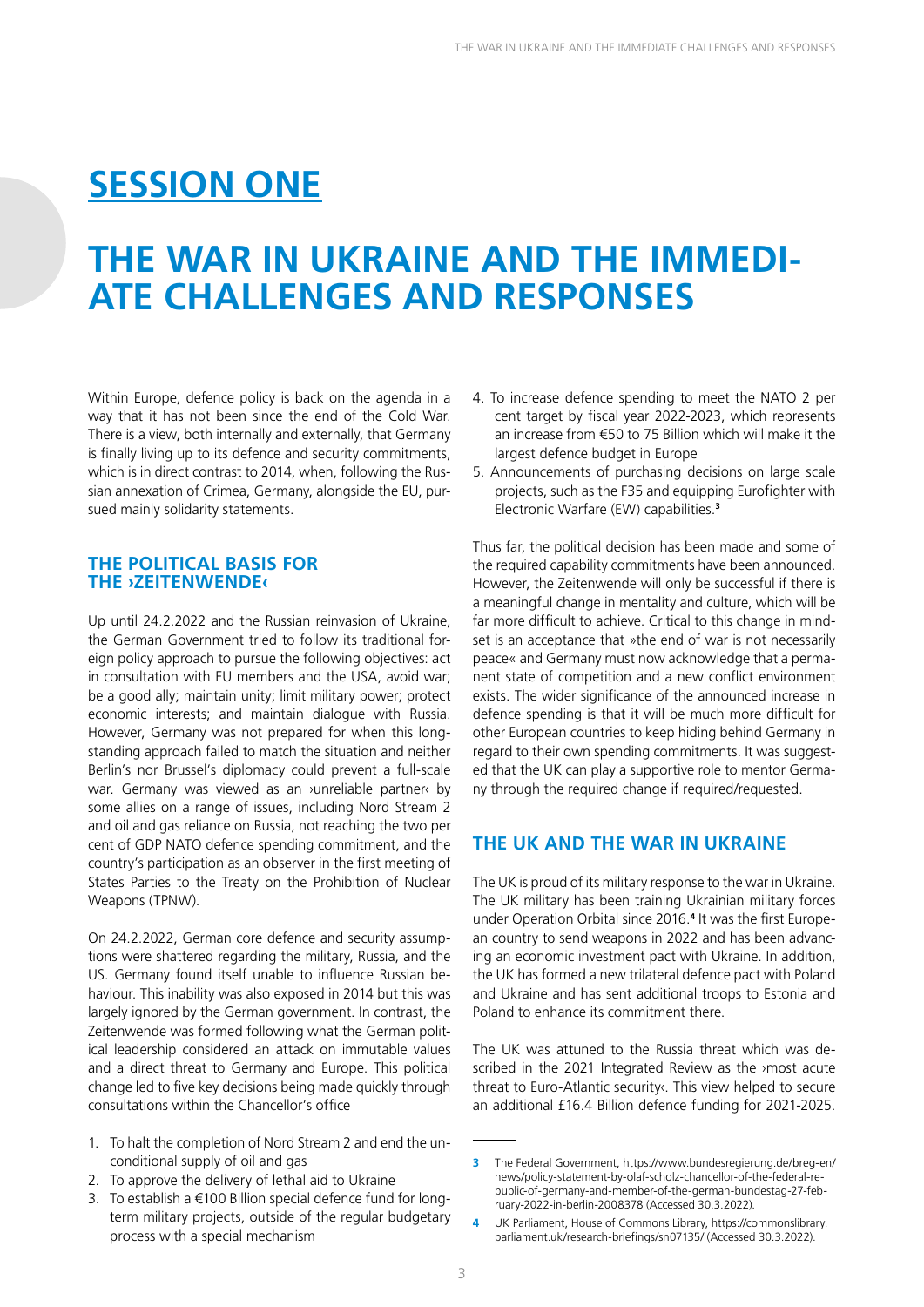## <span id="page-4-0"></span>**SESSION ONE**

## **THE WAR IN UKRAINE AND THE IMMEDI-ATE CHALLENGES AND RESPONSES**

Within Europe, defence policy is back on the agenda in a way that it has not been since the end of the Cold War. There is a view, both internally and externally, that Germany is finally living up to its defence and security commitments, which is in direct contrast to 2014, when, following the Russian annexation of Crimea, Germany, alongside the EU, pursued mainly solidarity statements.

#### **THE POLITICAL BASIS FOR THE ›ZEITENWENDE‹**

Up until 24.2.2022 and the Russian reinvasion of Ukraine, the German Government tried to follow its traditional foreign policy approach to pursue the following objectives: act in consultation with EU members and the USA, avoid war; be a good ally; maintain unity; limit military power; protect economic interests; and maintain dialogue with Russia. However, Germany was not prepared for when this longstanding approach failed to match the situation and neither Berlin's nor Brussel's diplomacy could prevent a full-scale war. Germany was viewed as an >unreliable partner‹ by some allies on a range of issues, including Nord Stream 2 and oil and gas reliance on Russia, not reaching the two per cent of GDP NATO defence spending commitment, and the country's participation as an observer in the first meeting of States Parties to the Treaty on the Prohibition of Nuclear Weapons (TPNW).

On 24.2.2022, German core defence and security assumptions were shattered regarding the military, Russia, and the US. Germany found itself unable to influence Russian behaviour. This inability was also exposed in 2014 but this was largely ignored by the German government. In contrast, the Zeitenwende was formed following what the German political leadership considered an attack on immutable values and a direct threat to Germany and Europe. This political change led to five key decisions being made quickly through consultations within the Chancellor's office

- 1. To halt the completion of Nord Stream 2 and end the unconditional supply of oil and gas
- 2. To approve the delivery of lethal aid to Ukraine
- 3. To establish a €100 Billion special defence fund for longterm military projects, outside of the regular budgetary process with a special mechanism
- 4. To increase defence spending to meet the NATO 2 per cent target by fiscal year 2022-2023, which represents an increase from €50 to 75 Billion which will make it the largest defence budget in Europe
- 5. Announcements of purchasing decisions on large scale projects, such as the F35 and equipping Eurofighter with Electronic Warfare (EW) capabilities.**<sup>3</sup>**

Thus far, the political decision has been made and some of the required capability commitments have been announced. However, the Zeitenwende will only be successful if there is a meaningful change in mentality and culture, which will be far more difficult to achieve. Critical to this change in mindset is an acceptance that »the end of war is not necessarily peace« and Germany must now acknowledge that a permanent state of competition and a new conflict environment exists. The wider significance of the announced increase in defence spending is that it will be much more difficult for other European countries to keep hiding behind Germany in regard to their own spending commitments. It was suggested that the UK can play a supportive role to mentor Germany through the required change if required/requested.

### **THE UK AND THE WAR IN UKRAINE**

The UK is proud of its military response to the war in Ukraine. The UK military has been training Ukrainian military forces under Operation Orbital since 2016.<sup>4</sup> It was the first European country to send weapons in 2022 and has been advancing an economic investment pact with Ukraine. In addition, the UK has formed a new trilateral defence pact with Poland and Ukraine and has sent additional troops to Estonia and Poland to enhance its commitment there.

The UK was attuned to the Russia threat which was described in the 2021 Integrated Review as the ›most acute threat to Euro-Atlantic security‹. This view helped to secure an additional £16.4 Billion defence funding for 2021-2025.

**<sup>3</sup>** The Federal Government, [https://www.bundesregierung.de/breg-en/](https://www.bundesregierung.de/breg-en/news/policy-statement-by-olaf-scholz-chancellor-of-the-federal-republic-of-germany-and-member-of-the-german-bundestag-27-february-2022-in-berlin-2008378) [news/policy-statement-by-olaf-scholz-chancellor-of-the-federal-re](https://www.bundesregierung.de/breg-en/news/policy-statement-by-olaf-scholz-chancellor-of-the-federal-republic-of-germany-and-member-of-the-german-bundestag-27-february-2022-in-berlin-2008378)[public-of-germany-and-member-of-the-german-bundestag-27-feb](https://www.bundesregierung.de/breg-en/news/policy-statement-by-olaf-scholz-chancellor-of-the-federal-republic-of-germany-and-member-of-the-german-bundestag-27-february-2022-in-berlin-2008378)[ruary-2022-in-berlin-2008378](https://www.bundesregierung.de/breg-en/news/policy-statement-by-olaf-scholz-chancellor-of-the-federal-republic-of-germany-and-member-of-the-german-bundestag-27-february-2022-in-berlin-2008378) (Accessed 30.3.2022).

**<sup>4</sup>** UK Parliament, House of Commons Library, [https://commonslibrary.](https://commonslibrary.parliament.uk/research-briefings/sn07135/) [parliament.uk/research-briefings/sn07135/](https://commonslibrary.parliament.uk/research-briefings/sn07135/) (Accessed 30.3.2022).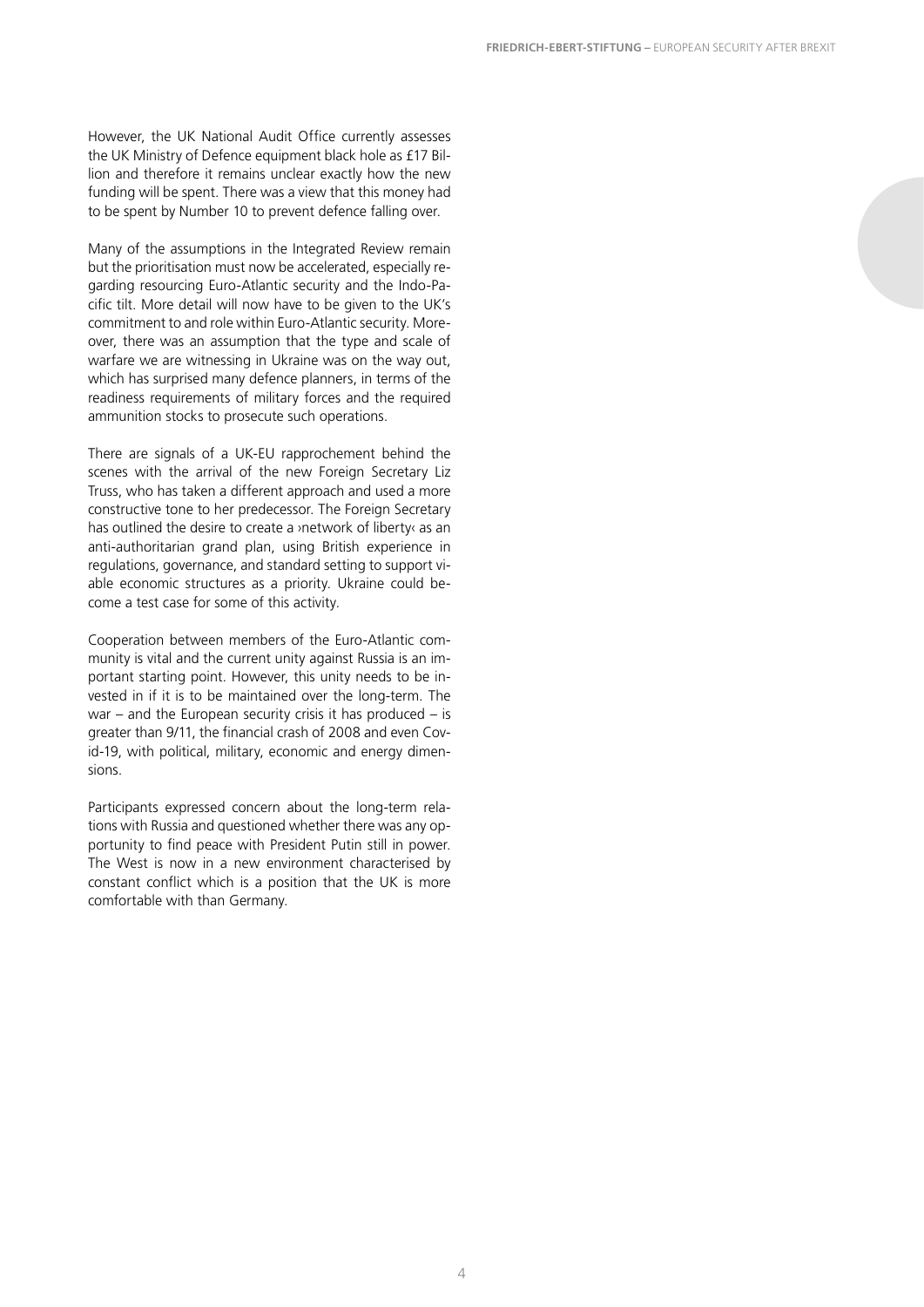However, the UK National Audit Office currently assesses the UK Ministry of Defence equipment black hole as £17 Billion and therefore it remains unclear exactly how the new funding will be spent. There was a view that this money had to be spent by Number 10 to prevent defence falling over.

Many of the assumptions in the Integrated Review remain but the prioritisation must now be accelerated, especially regarding resourcing Euro-Atlantic security and the Indo-Pacific tilt. More detail will now have to be given to the UK's commitment to and role within Euro-Atlantic security. Moreover, there was an assumption that the type and scale of warfare we are witnessing in Ukraine was on the way out, which has surprised many defence planners, in terms of the readiness requirements of military forces and the required ammunition stocks to prosecute such operations.

There are signals of a UK-EU rapprochement behind the scenes with the arrival of the new Foreign Secretary Liz Truss, who has taken a different approach and used a more constructive tone to her predecessor. The Foreign Secretary has outlined the desire to create a ›network of liberty‹ as an anti-authoritarian grand plan, using British experience in regulations, governance, and standard setting to support viable economic structures as a priority. Ukraine could become a test case for some of this activity.

Cooperation between members of the Euro-Atlantic community is vital and the current unity against Russia is an important starting point. However, this unity needs to be invested in if it is to be maintained over the long-term. The war – and the European security crisis it has produced – is greater than 9/11, the financial crash of 2008 and even Covid-19, with political, military, economic and energy dimensions.

Participants expressed concern about the long-term relations with Russia and questioned whether there was any opportunity to find peace with President Putin still in power. The West is now in a new environment characterised by constant conflict which is a position that the UK is more comfortable with than Germany.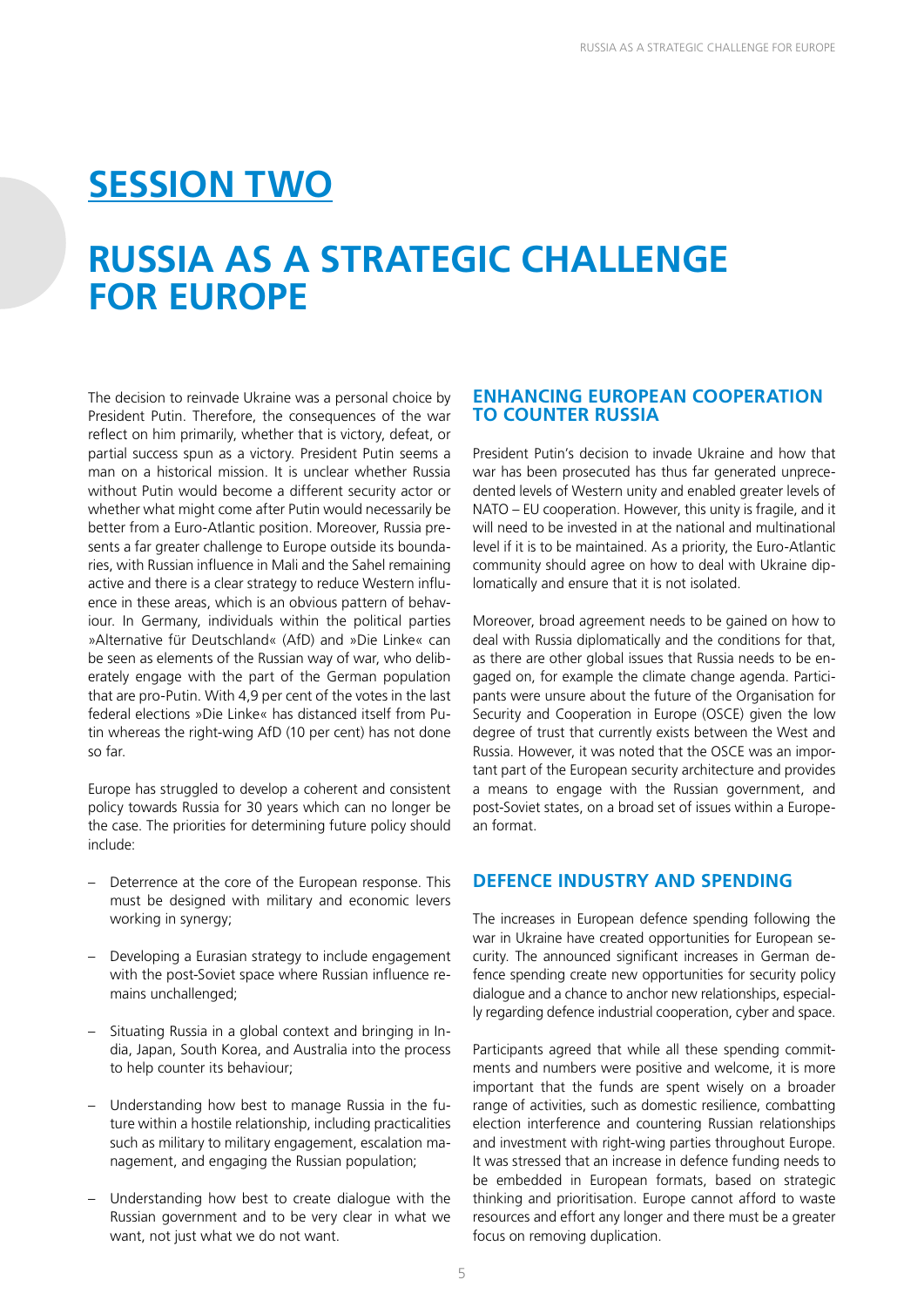### <span id="page-6-0"></span>**SESSION TWO**

### **RUSSIA AS A STRATEGIC CHALLENGE FOR EUROPE**

The decision to reinvade Ukraine was a personal choice by President Putin. Therefore, the consequences of the war reflect on him primarily, whether that is victory, defeat, or partial success spun as a victory. President Putin seems a man on a historical mission. It is unclear whether Russia without Putin would become a different security actor or whether what might come after Putin would necessarily be better from a Euro-Atlantic position. Moreover, Russia presents a far greater challenge to Europe outside its boundaries, with Russian influence in Mali and the Sahel remaining active and there is a clear strategy to reduce Western influence in these areas, which is an obvious pattern of behaviour. In Germany, individuals within the political parties »Alternative für Deutschland« (AfD) and »Die Linke« can be seen as elements of the Russian way of war, who deliberately engage with the part of the German population that are pro-Putin. With 4,9 per cent of the votes in the last federal elections »Die Linke« has distanced itself from Putin whereas the right-wing AfD (10 per cent) has not done so far.

Europe has struggled to develop a coherent and consistent policy towards Russia for 30 years which can no longer be the case. The priorities for determining future policy should include:

- Deterrence at the core of the European response. This must be designed with military and economic levers working in synergy;
- Developing a Eurasian strategy to include engagement with the post-Soviet space where Russian influence remains unchallenged;
- Situating Russia in a global context and bringing in India, Japan, South Korea, and Australia into the process to help counter its behaviour;
- Understanding how best to manage Russia in the future within a hostile relationship, including practicalities such as military to military engagement, escalation management, and engaging the Russian population;
- Understanding how best to create dialogue with the Russian government and to be very clear in what we want, not just what we do not want.

#### **ENHANCING EUROPEAN COOPERATION TO COUNTER RUSSIA**

President Putin's decision to invade Ukraine and how that war has been prosecuted has thus far generated unprecedented levels of Western unity and enabled greater levels of NATO – EU cooperation. However, this unity is fragile, and it will need to be invested in at the national and multinational level if it is to be maintained. As a priority, the Euro-Atlantic community should agree on how to deal with Ukraine diplomatically and ensure that it is not isolated.

Moreover, broad agreement needs to be gained on how to deal with Russia diplomatically and the conditions for that, as there are other global issues that Russia needs to be engaged on, for example the climate change agenda. Participants were unsure about the future of the Organisation for Security and Cooperation in Europe (OSCE) given the low degree of trust that currently exists between the West and Russia. However, it was noted that the OSCE was an important part of the European security architecture and provides a means to engage with the Russian government, and post-Soviet states, on a broad set of issues within a European format.

### **DEFENCE INDUSTRY AND SPENDING**

The increases in European defence spending following the war in Ukraine have created opportunities for European security. The announced significant increases in German defence spending create new opportunities for security policy dialogue and a chance to anchor new relationships, especially regarding defence industrial cooperation, cyber and space.

Participants agreed that while all these spending commitments and numbers were positive and welcome, it is more important that the funds are spent wisely on a broader range of activities, such as domestic resilience, combatting election interference and countering Russian relationships and investment with right-wing parties throughout Europe. It was stressed that an increase in defence funding needs to be embedded in European formats, based on strategic thinking and prioritisation. Europe cannot afford to waste resources and effort any longer and there must be a greater focus on removing duplication.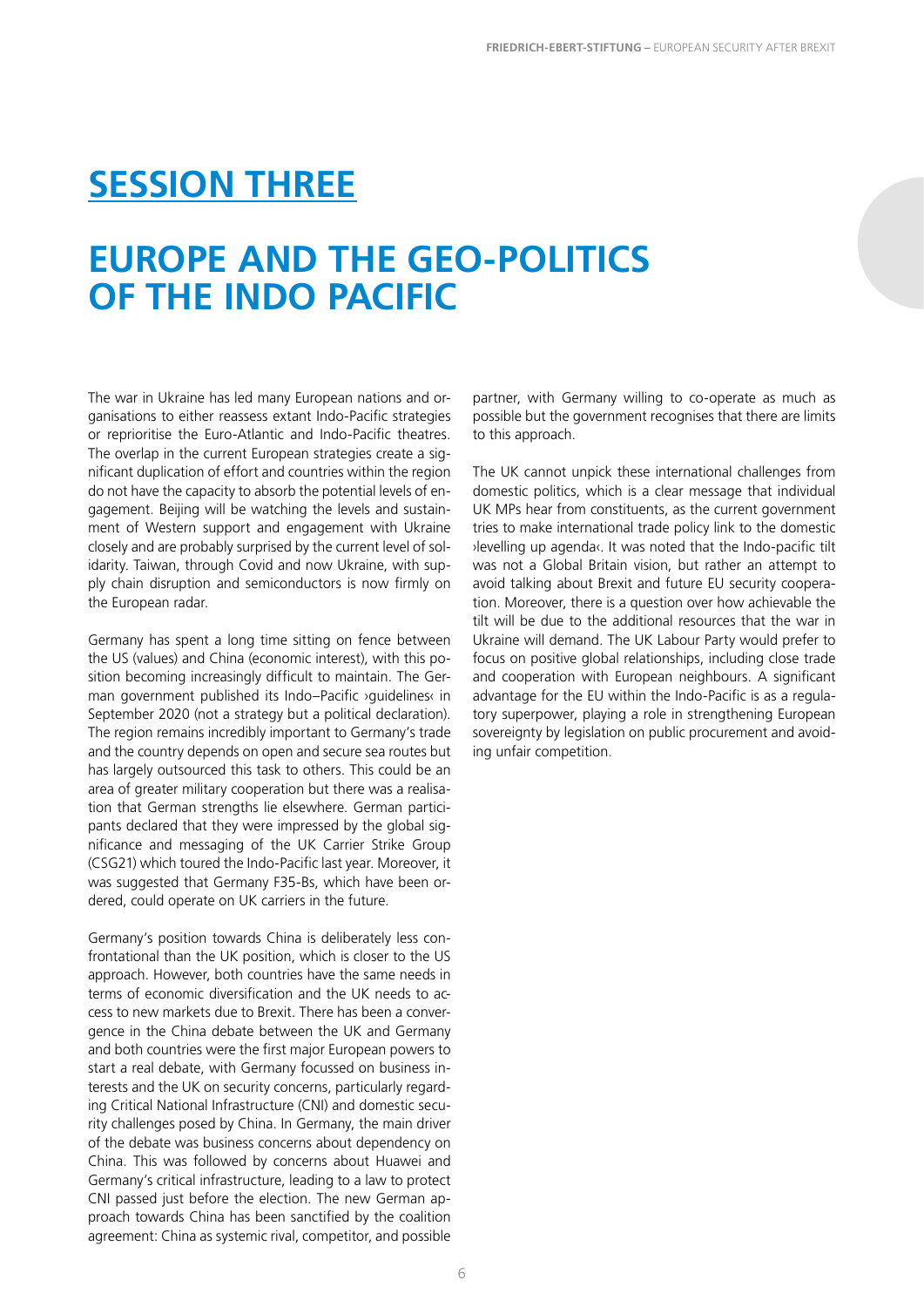### <span id="page-7-0"></span>**SESSION THREE**

### **EUROPE AND THE GEO-POLITICS OF THE INDO PACIFIC**

The war in Ukraine has led many European nations and organisations to either reassess extant Indo-Pacific strategies or reprioritise the Euro-Atlantic and Indo-Pacific theatres. The overlap in the current European strategies create a significant duplication of effort and countries within the region do not have the capacity to absorb the potential levels of engagement. Beijing will be watching the levels and sustainment of Western support and engagement with Ukraine closely and are probably surprised by the current level of solidarity. Taiwan, through Covid and now Ukraine, with supply chain disruption and semiconductors is now firmly on the European radar.

Germany has spent a long time sitting on fence between the US (values) and China (economic interest), with this position becoming increasingly difficult to maintain. The German government published its Indo-Pacific >guidelines‹ in September 2020 (not a strategy but a political declaration). The region remains incredibly important to Germany's trade and the country depends on open and secure sea routes but has largely outsourced this task to others. This could be an area of greater military cooperation but there was a realisation that German strengths lie elsewhere. German participants declared that they were impressed by the global significance and messaging of the UK Carrier Strike Group (CSG21) which toured the Indo-Pacific last year. Moreover, it was suggested that Germany F35-Bs, which have been ordered, could operate on UK carriers in the future.

Germany's position towards China is deliberately less confrontational than the UK position, which is closer to the US approach. However, both countries have the same needs in terms of economic diversification and the UK needs to access to new markets due to Brexit. There has been a convergence in the China debate between the UK and Germany and both countries were the first major European powers to start a real debate, with Germany focussed on business interests and the UK on security concerns, particularly regarding Critical National Infrastructure (CNI) and domestic security challenges posed by China. In Germany, the main driver of the debate was business concerns about dependency on China. This was followed by concerns about Huawei and Germany's critical infrastructure, leading to a law to protect CNI passed just before the election. The new German approach towards China has been sanctified by the coalition agreement: China as systemic rival, competitor, and possible

partner, with Germany willing to co-operate as much as possible but the government recognises that there are limits to this approach.

The UK cannot unpick these international challenges from domestic politics, which is a clear message that individual UK MPs hear from constituents, as the current government tries to make international trade policy link to the domestic ›levelling up agenda‹. It was noted that the Indo-pacific tilt was not a Global Britain vision, but rather an attempt to avoid talking about Brexit and future EU security cooperation. Moreover, there is a question over how achievable the tilt will be due to the additional resources that the war in Ukraine will demand. The UK Labour Party would prefer to focus on positive global relationships, including close trade and cooperation with European neighbours. A significant advantage for the EU within the Indo-Pacific is as a regulatory superpower, playing a role in strengthening European sovereignty by legislation on public procurement and avoiding unfair competition.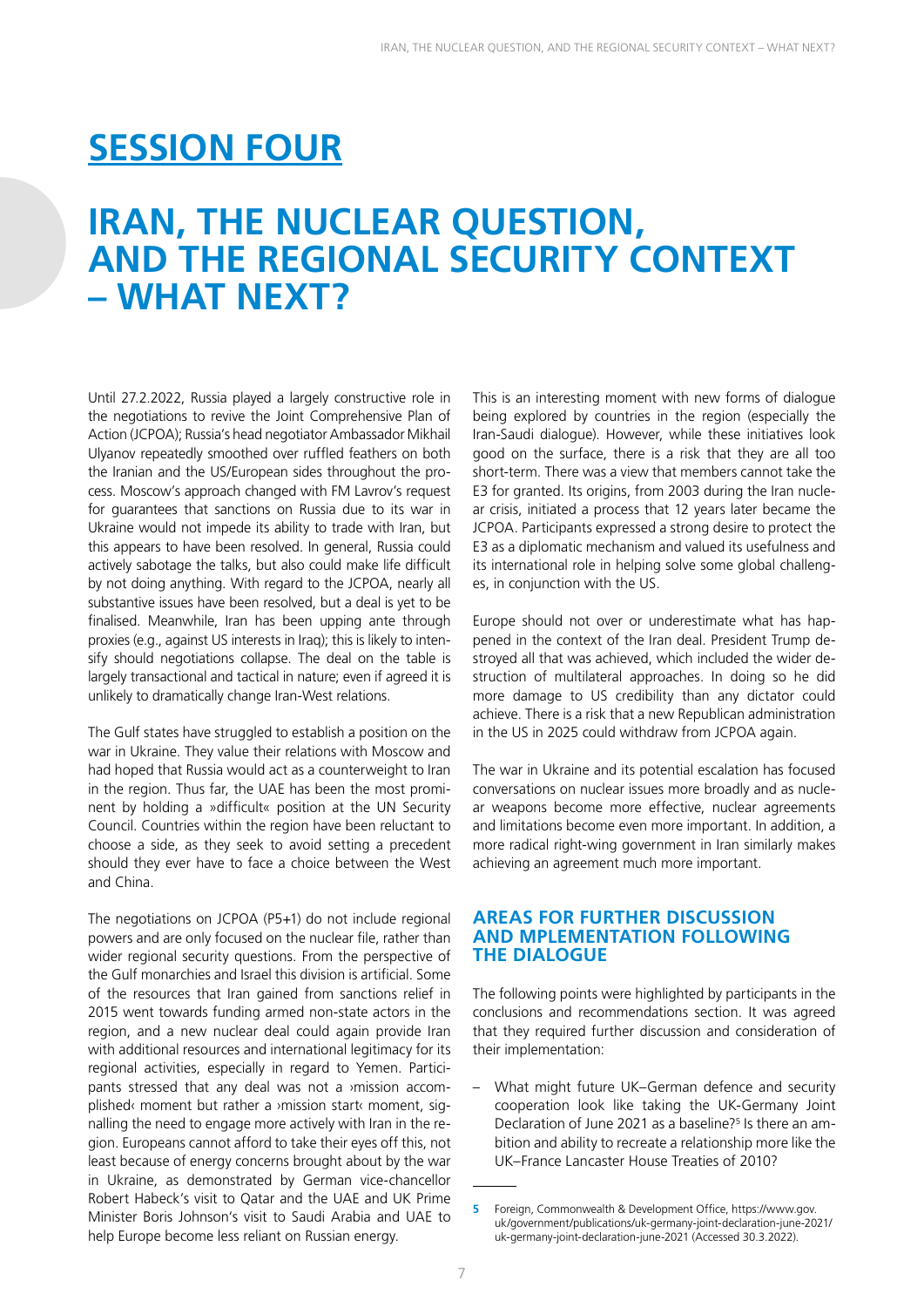## <span id="page-8-0"></span>**SESSION FOUR**

### **IRAN, THE NUCLEAR QUESTION, AND THE REGIONAL SECURITY CONTEXT – WHAT NEXT?**

Until 27.2.2022, Russia played a largely constructive role in the negotiations to revive the Joint Comprehensive Plan of Action (JCPOA); Russia's head negotiator Ambassador Mikhail Ulyanov repeatedly smoothed over ruffled feathers on both the Iranian and the US/European sides throughout the process. Moscow's approach changed with FM Lavrov's request for guarantees that sanctions on Russia due to its war in Ukraine would not impede its ability to trade with Iran, but this appears to have been resolved. In general, Russia could actively sabotage the talks, but also could make life difficult by not doing anything. With regard to the JCPOA, nearly all substantive issues have been resolved, but a deal is yet to be finalised. Meanwhile, Iran has been upping ante through proxies (e.g., against US interests in Iraq); this is likely to intensify should negotiations collapse. The deal on the table is largely transactional and tactical in nature; even if agreed it is unlikely to dramatically change Iran-West relations.

The Gulf states have struggled to establish a position on the war in Ukraine. They value their relations with Moscow and had hoped that Russia would act as a counterweight to Iran in the region. Thus far, the UAE has been the most prominent by holding a »difficult« position at the UN Security Council. Countries within the region have been reluctant to choose a side, as they seek to avoid setting a precedent should they ever have to face a choice between the West and China.

The negotiations on JCPOA (P5+1) do not include regional powers and are only focused on the nuclear file, rather than wider regional security questions. From the perspective of the Gulf monarchies and Israel this division is artificial. Some of the resources that Iran gained from sanctions relief in 2015 went towards funding armed non-state actors in the region, and a new nuclear deal could again provide Iran with additional resources and international legitimacy for its regional activities, especially in regard to Yemen. Participants stressed that any deal was not a ›mission accomplished‹ moment but rather a ›mission start‹ moment, signalling the need to engage more actively with Iran in the region. Europeans cannot afford to take their eyes off this, not least because of energy concerns brought about by the war in Ukraine, as demonstrated by German vice-chancellor Robert Habeck's visit to Qatar and the UAE and UK Prime Minister Boris Johnson's visit to Saudi Arabia and UAE to help Europe become less reliant on Russian energy.

This is an interesting moment with new forms of dialogue being explored by countries in the region (especially the Iran-Saudi dialogue). However, while these initiatives look good on the surface, there is a risk that they are all too short-term. There was a view that members cannot take the E3 for granted. Its origins, from 2003 during the Iran nuclear crisis, initiated a process that 12 years later became the JCPOA. Participants expressed a strong desire to protect the E3 as a diplomatic mechanism and valued its usefulness and its international role in helping solve some global challenges, in conjunction with the US.

Europe should not over or underestimate what has happened in the context of the Iran deal. President Trump destroyed all that was achieved, which included the wider destruction of multilateral approaches. In doing so he did more damage to US credibility than any dictator could achieve. There is a risk that a new Republican administration in the US in 2025 could withdraw from JCPOA again.

The war in Ukraine and its potential escalation has focused conversations on nuclear issues more broadly and as nuclear weapons become more effective, nuclear agreements and limitations become even more important. In addition, a more radical right-wing government in Iran similarly makes achieving an agreement much more important.

#### **AREAS FOR FURTHER DISCUSSION AND MPLEMENTATION FOLLOWING THE DIALOGUE**

The following points were highlighted by participants in the conclusions and recommendations section. It was agreed that they required further discussion and consideration of their implementation:

– What might future UK–German defence and security cooperation look like taking the UK-Germany Joint Declaration of June 2021 as a baseline?<sup>5</sup> Is there an ambition and ability to recreate a relationship more like the UK–France Lancaster House Treaties of 2010?

**<sup>5</sup>** Foreign, Commonwealth & Development Office, [https://www.gov.](https://www.gov.uk/government/publications/uk-germany-joint-declaration-june-2021/uk-germany-joint-declaration-june-2021) [uk/government/publications/uk-germany-joint-declaration-june-2021/](https://www.gov.uk/government/publications/uk-germany-joint-declaration-june-2021/uk-germany-joint-declaration-june-2021) [uk-germany-joint-declaration-june-2021](https://www.gov.uk/government/publications/uk-germany-joint-declaration-june-2021/uk-germany-joint-declaration-june-2021) (Accessed 30.3.2022).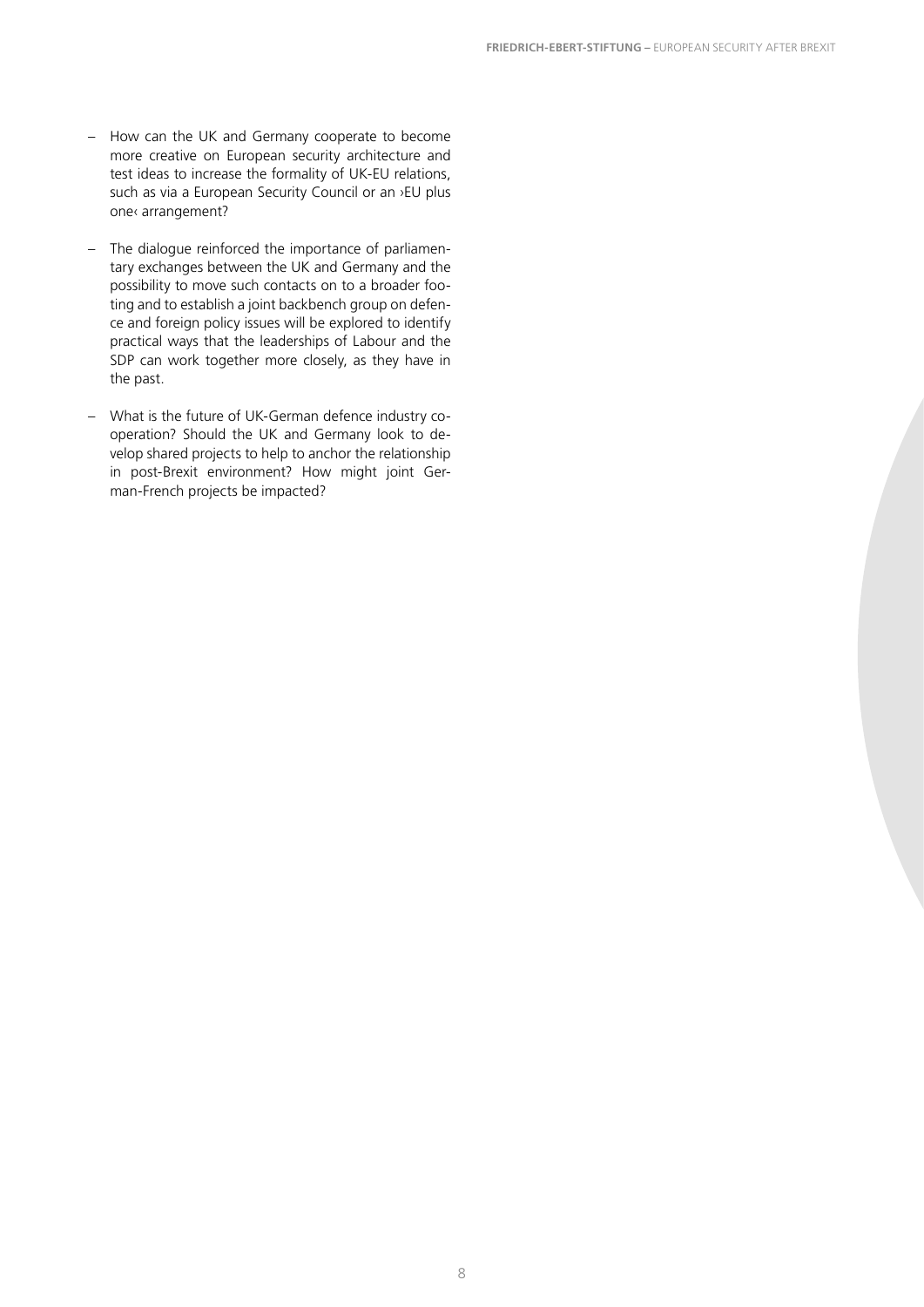- How can the UK and Germany cooperate to become more creative on European security architecture and test ideas to increase the formality of UK-EU relations, such as via a European Security Council or an >EU plus one‹ arrangement?
- The dialogue reinforced the importance of parliamentary exchanges between the UK and Germany and the possibility to move such contacts on to a broader footing and to establish a joint backbench group on defence and foreign policy issues will be explored to identify practical ways that the leaderships of Labour and the SDP can work together more closely, as they have in the past.
- What is the future of UK-German defence industry cooperation? Should the UK and Germany look to develop shared projects to help to anchor the relationship in post-Brexit environment? How might joint German-French projects be impacted?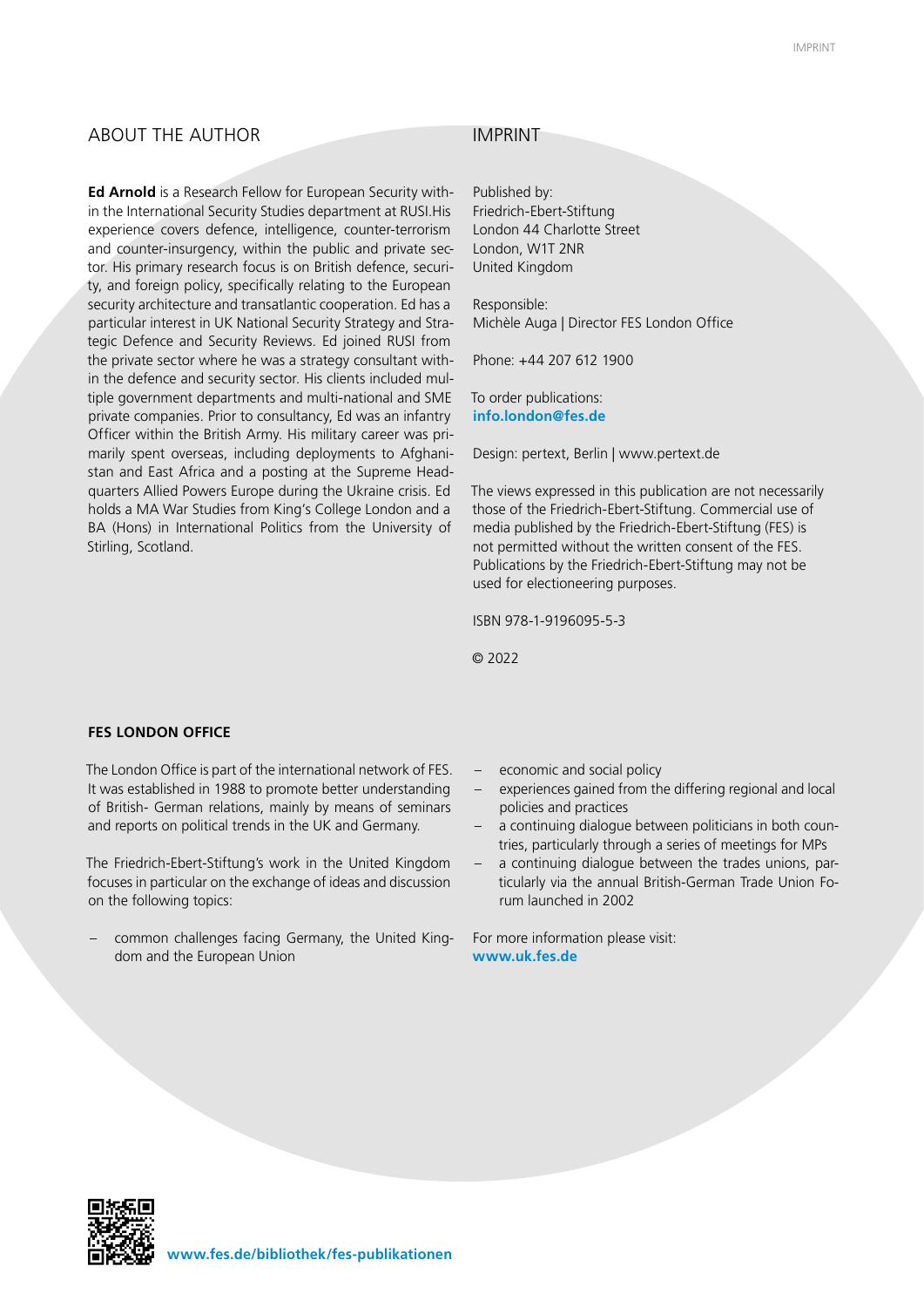#### ABOUT THE AUTHOR IMPRINT

**Ed Arnold** is a Research Fellow for European Security within the International Security Studies department at RUSI.His experience covers defence, intelligence, counter-terrorism and counter-insurgency, within the public and private sector. His primary research focus is on British defence, security, and foreign policy, specifically relating to the European security architecture and transatlantic cooperation. Ed has a particular interest in UK National Security Strategy and Strategic Defence and Security Reviews. Ed joined RUSI from the private sector where he was a strategy consultant within the defence and security sector. His clients included multiple government departments and multi-national and SME private companies. Prior to consultancy, Ed was an infantry Officer within the British Army. His military career was primarily spent overseas, including deployments to Afghanistan and East Africa and a posting at the Supreme Headquarters Allied Powers Europe during the Ukraine crisis. Ed holds a MA War Studies from King's College London and a BA (Hons) in International Politics from the University of Stirling, Scotland.

Published by: Friedrich-Ebert-Stiftung London 44 Charlotte Street London, W1T 2NR United Kingdom

Responsible: Michèle Auga | Director FES London Office

Phone: +44 207 612 1900

To order publications: **info.london@fes.de**

Design: pertext, Berlin | www.pertext.de

The views expressed in this publication are not necessarily those of the Friedrich-Ebert-Stiftung. Commercial use of media published by the Friedrich-Ebert-Stiftung (FES) is not permitted without the written consent of the FES. Publications by the Friedrich-Ebert-Stiftung may not be used for electioneering purposes.

ISBN 978-1-9196095-5-3

© 2022

#### **FES LONDON OFFICE**

The London Office is part of the international network of FES. It was established in 1988 to promote better understanding of British- German relations, mainly by means of seminars and reports on political trends in the UK and Germany.

The Friedrich-Ebert-Stiftung's work in the United Kingdom focuses in particular on the exchange of ideas and discussion on the following topics:

- common challenges facing Germany, the United Kingdom and the European Union **intervalse and the European Union** 

- economic and social policy
- experiences gained from the differing regional and local policies and practices
- a continuing dialogue between politicians in both countries, particularly through a series of meetings for MPs
- a continuing dialogue between the trades unions, particularly via the annual British-German Trade Union Forum launched in 2002

For more information please visit: **www.uk.fes.de**